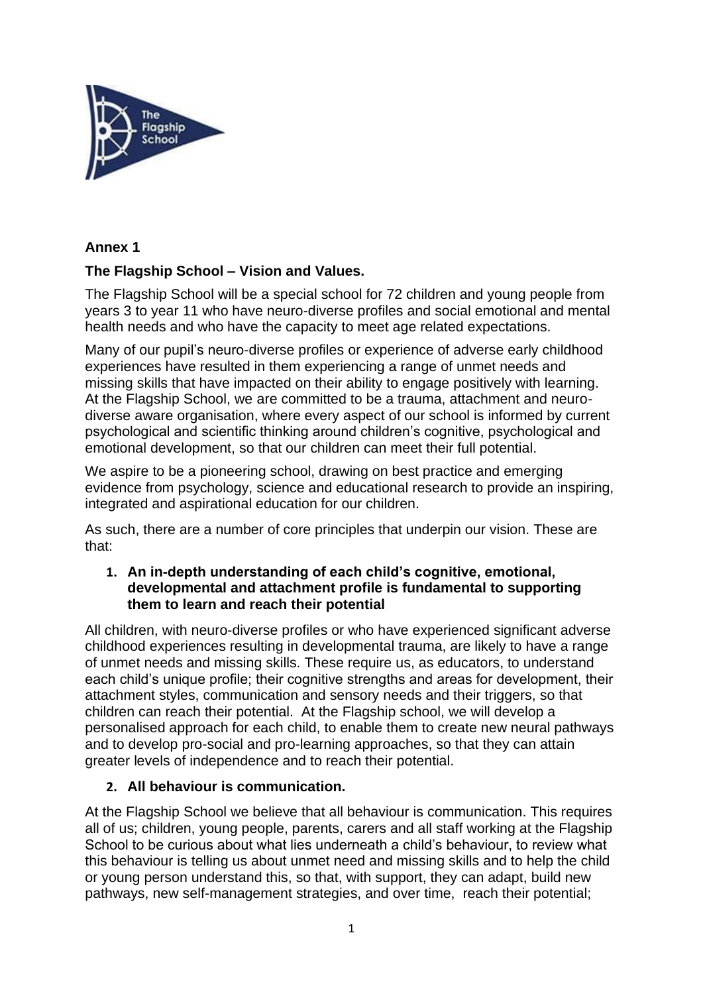

### **Annex 1**

### **The Flagship School – Vision and Values.**

The Flagship School will be a special school for 72 children and young people from years 3 to year 11 who have neuro-diverse profiles and social emotional and mental health needs and who have the capacity to meet age related expectations.

Many of our pupil's neuro-diverse profiles or experience of adverse early childhood experiences have resulted in them experiencing a range of unmet needs and missing skills that have impacted on their ability to engage positively with learning. At the Flagship School, we are committed to be a trauma, attachment and neurodiverse aware organisation, where every aspect of our school is informed by current psychological and scientific thinking around children's cognitive, psychological and emotional development, so that our children can meet their full potential.

We aspire to be a pioneering school, drawing on best practice and emerging evidence from psychology, science and educational research to provide an inspiring, integrated and aspirational education for our children.

As such, there are a number of core principles that underpin our vision. These are that:

#### **1. An in-depth understanding of each child's cognitive, emotional, developmental and attachment profile is fundamental to supporting them to learn and reach their potential**

All children, with neuro-diverse profiles or who have experienced significant adverse childhood experiences resulting in developmental trauma, are likely to have a range of unmet needs and missing skills. These require us, as educators, to understand each child's unique profile; their cognitive strengths and areas for development, their attachment styles, communication and sensory needs and their triggers, so that children can reach their potential. At the Flagship school, we will develop a personalised approach for each child, to enable them to create new neural pathways and to develop pro-social and pro-learning approaches, so that they can attain greater levels of independence and to reach their potential.

### **2. All behaviour is communication.**

At the Flagship School we believe that all behaviour is communication. This requires all of us; children, young people, parents, carers and all staff working at the Flagship School to be curious about what lies underneath a child's behaviour, to review what this behaviour is telling us about unmet need and missing skills and to help the child or young person understand this, so that, with support, they can adapt, build new pathways, new self-management strategies, and over time, reach their potential;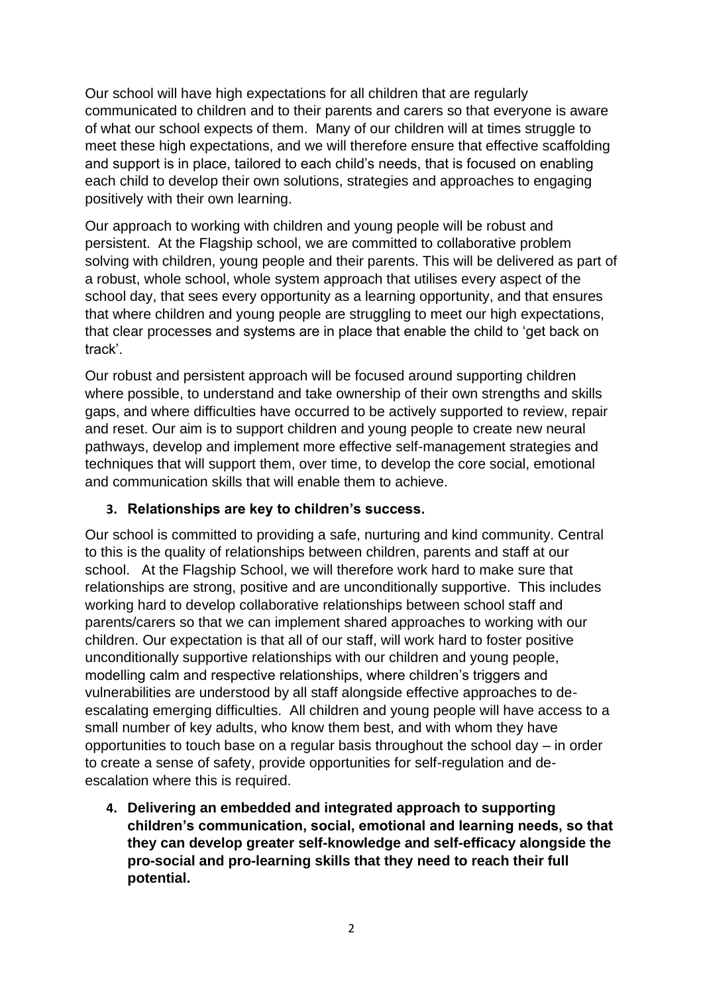Our school will have high expectations for all children that are regularly communicated to children and to their parents and carers so that everyone is aware of what our school expects of them. Many of our children will at times struggle to meet these high expectations, and we will therefore ensure that effective scaffolding and support is in place, tailored to each child's needs, that is focused on enabling each child to develop their own solutions, strategies and approaches to engaging positively with their own learning.

Our approach to working with children and young people will be robust and persistent. At the Flagship school, we are committed to collaborative problem solving with children, young people and their parents. This will be delivered as part of a robust, whole school, whole system approach that utilises every aspect of the school day, that sees every opportunity as a learning opportunity, and that ensures that where children and young people are struggling to meet our high expectations, that clear processes and systems are in place that enable the child to 'get back on track'.

Our robust and persistent approach will be focused around supporting children where possible, to understand and take ownership of their own strengths and skills gaps, and where difficulties have occurred to be actively supported to review, repair and reset. Our aim is to support children and young people to create new neural pathways, develop and implement more effective self-management strategies and techniques that will support them, over time, to develop the core social, emotional and communication skills that will enable them to achieve.

### **3. Relationships are key to children's success.**

Our school is committed to providing a safe, nurturing and kind community. Central to this is the quality of relationships between children, parents and staff at our school. At the Flagship School, we will therefore work hard to make sure that relationships are strong, positive and are unconditionally supportive. This includes working hard to develop collaborative relationships between school staff and parents/carers so that we can implement shared approaches to working with our children. Our expectation is that all of our staff, will work hard to foster positive unconditionally supportive relationships with our children and young people, modelling calm and respective relationships, where children's triggers and vulnerabilities are understood by all staff alongside effective approaches to deescalating emerging difficulties. All children and young people will have access to a small number of key adults, who know them best, and with whom they have opportunities to touch base on a regular basis throughout the school day – in order to create a sense of safety, provide opportunities for self-regulation and deescalation where this is required.

**4. Delivering an embedded and integrated approach to supporting children's communication, social, emotional and learning needs, so that they can develop greater self-knowledge and self-efficacy alongside the pro-social and pro-learning skills that they need to reach their full potential.**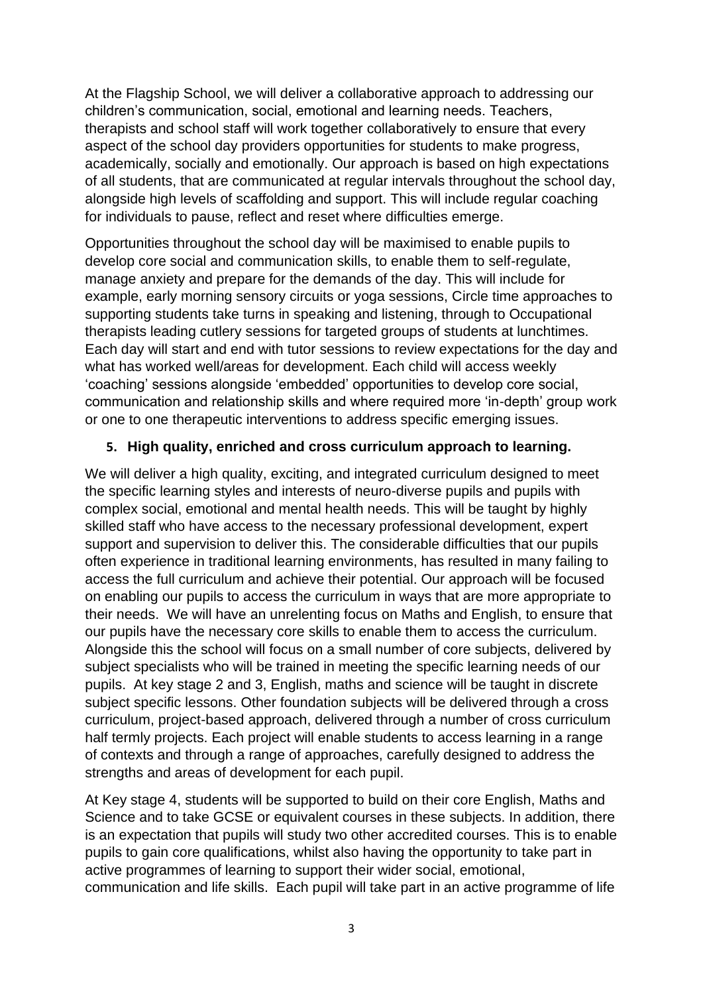At the Flagship School, we will deliver a collaborative approach to addressing our children's communication, social, emotional and learning needs. Teachers, therapists and school staff will work together collaboratively to ensure that every aspect of the school day providers opportunities for students to make progress, academically, socially and emotionally. Our approach is based on high expectations of all students, that are communicated at regular intervals throughout the school day, alongside high levels of scaffolding and support. This will include regular coaching for individuals to pause, reflect and reset where difficulties emerge.

Opportunities throughout the school day will be maximised to enable pupils to develop core social and communication skills, to enable them to self-regulate, manage anxiety and prepare for the demands of the day. This will include for example, early morning sensory circuits or yoga sessions, Circle time approaches to supporting students take turns in speaking and listening, through to Occupational therapists leading cutlery sessions for targeted groups of students at lunchtimes. Each day will start and end with tutor sessions to review expectations for the day and what has worked well/areas for development. Each child will access weekly 'coaching' sessions alongside 'embedded' opportunities to develop core social, communication and relationship skills and where required more 'in-depth' group work or one to one therapeutic interventions to address specific emerging issues.

#### **5. High quality, enriched and cross curriculum approach to learning.**

We will deliver a high quality, exciting, and integrated curriculum designed to meet the specific learning styles and interests of neuro-diverse pupils and pupils with complex social, emotional and mental health needs. This will be taught by highly skilled staff who have access to the necessary professional development, expert support and supervision to deliver this. The considerable difficulties that our pupils often experience in traditional learning environments, has resulted in many failing to access the full curriculum and achieve their potential. Our approach will be focused on enabling our pupils to access the curriculum in ways that are more appropriate to their needs. We will have an unrelenting focus on Maths and English, to ensure that our pupils have the necessary core skills to enable them to access the curriculum. Alongside this the school will focus on a small number of core subjects, delivered by subject specialists who will be trained in meeting the specific learning needs of our pupils. At key stage 2 and 3, English, maths and science will be taught in discrete subject specific lessons. Other foundation subjects will be delivered through a cross curriculum, project-based approach, delivered through a number of cross curriculum half termly projects. Each project will enable students to access learning in a range of contexts and through a range of approaches, carefully designed to address the strengths and areas of development for each pupil.

At Key stage 4, students will be supported to build on their core English, Maths and Science and to take GCSE or equivalent courses in these subjects. In addition, there is an expectation that pupils will study two other accredited courses. This is to enable pupils to gain core qualifications, whilst also having the opportunity to take part in active programmes of learning to support their wider social, emotional, communication and life skills. Each pupil will take part in an active programme of life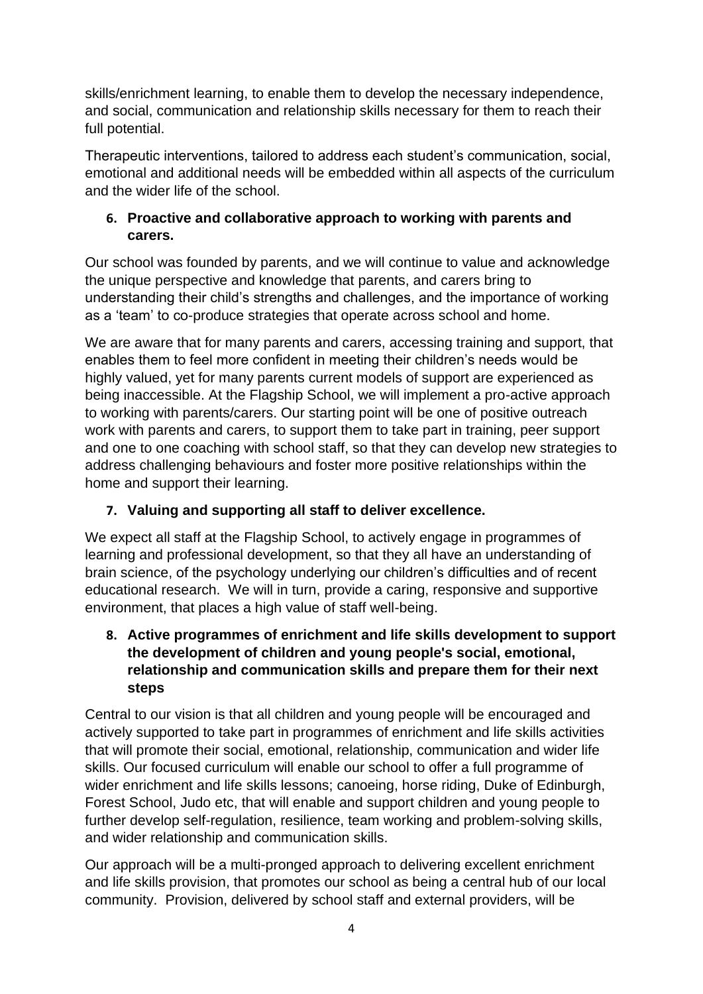skills/enrichment learning, to enable them to develop the necessary independence, and social, communication and relationship skills necessary for them to reach their full potential.

Therapeutic interventions, tailored to address each student's communication, social, emotional and additional needs will be embedded within all aspects of the curriculum and the wider life of the school.

## **6. Proactive and collaborative approach to working with parents and carers.**

Our school was founded by parents, and we will continue to value and acknowledge the unique perspective and knowledge that parents, and carers bring to understanding their child's strengths and challenges, and the importance of working as a 'team' to co-produce strategies that operate across school and home.

We are aware that for many parents and carers, accessing training and support, that enables them to feel more confident in meeting their children's needs would be highly valued, yet for many parents current models of support are experienced as being inaccessible. At the Flagship School, we will implement a pro-active approach to working with parents/carers. Our starting point will be one of positive outreach work with parents and carers, to support them to take part in training, peer support and one to one coaching with school staff, so that they can develop new strategies to address challenging behaviours and foster more positive relationships within the home and support their learning.

# **7. Valuing and supporting all staff to deliver excellence.**

We expect all staff at the Flagship School, to actively engage in programmes of learning and professional development, so that they all have an understanding of brain science, of the psychology underlying our children's difficulties and of recent educational research. We will in turn, provide a caring, responsive and supportive environment, that places a high value of staff well-being.

### **8. Active programmes of enrichment and life skills development to support the development of children and young people's social, emotional, relationship and communication skills and prepare them for their next steps**

Central to our vision is that all children and young people will be encouraged and actively supported to take part in programmes of enrichment and life skills activities that will promote their social, emotional, relationship, communication and wider life skills. Our focused curriculum will enable our school to offer a full programme of wider enrichment and life skills lessons; canoeing, horse riding, Duke of Edinburgh, Forest School, Judo etc, that will enable and support children and young people to further develop self-regulation, resilience, team working and problem-solving skills, and wider relationship and communication skills.

Our approach will be a multi-pronged approach to delivering excellent enrichment and life skills provision, that promotes our school as being a central hub of our local community. Provision, delivered by school staff and external providers, will be